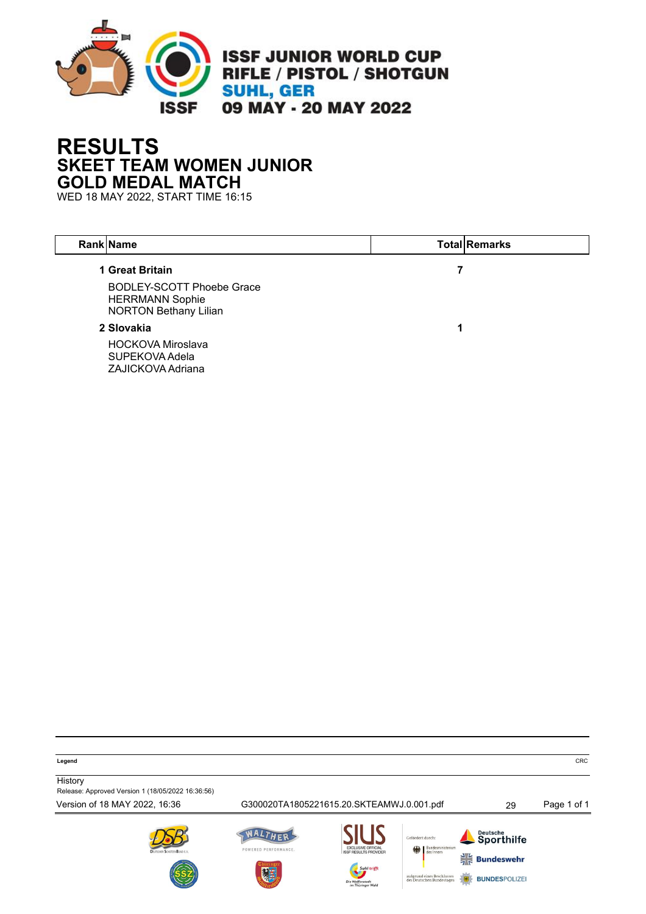

## **RESULTS SKEET TEAM WOMEN JUNIOR GOLD MEDAL MATCH**

WED 18 MAY 2022, START TIME 16:15

| <b>Rank Name</b>                                                                                              | <b>Total Remarks</b> |
|---------------------------------------------------------------------------------------------------------------|----------------------|
| 1 Great Britain<br><b>BODLEY-SCOTT Phoebe Grace</b><br><b>HERRMANN Sophie</b><br><b>NORTON Bethany Lilian</b> |                      |
| 2 Slovakia                                                                                                    |                      |
| <b>HOCKOVA Miroslava</b><br>SUPEKOVA Adela<br>ZAJICKOVA Adriana                                               |                      |

**Legend** CRC

**History** 

Release: Approved Version 1 (18/05/2022 16:36:56)

Version of 18 MAY 2022, 16:36 G300020TA1805221615.20.SKTEAMWJ.0.001.pdf 29 Page 1 of 1







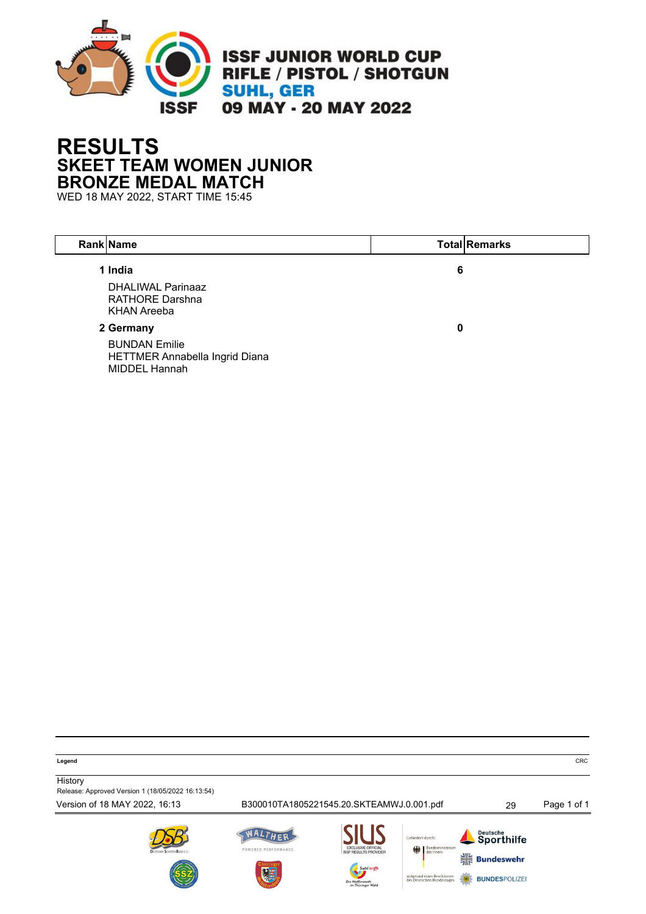

## **RESULTS SKEET TEAM WOMEN JUNIOR BRONZE MEDAL MATCH**

WED 18 MAY 2022, START TIME 15:45

| Rank Name                                                                            |   | <b>Total Remarks</b> |
|--------------------------------------------------------------------------------------|---|----------------------|
| 1 India<br><b>DHALIWAL Parinaaz</b><br><b>RATHORE Darshna</b><br><b>KHAN Areeba</b>  | 6 |                      |
| 2 Germany<br><b>BUNDAN Emilie</b><br>HETTMER Annabella Ingrid Diana<br>MIDDEL Hannah | 0 |                      |

**Legend** CRC

**History** Release: Approved Version 1 (18/05/2022 16:13:54)

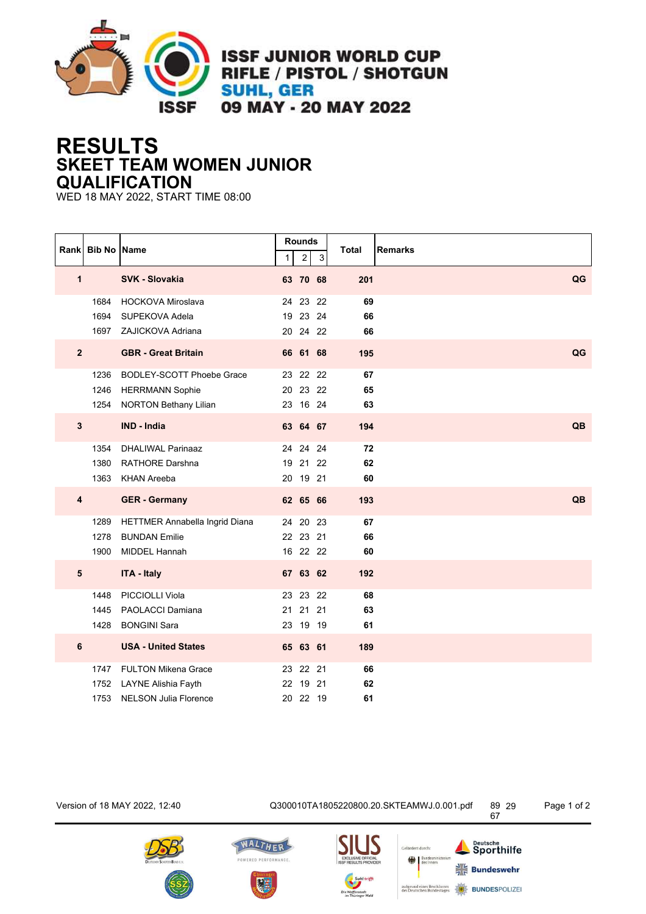

**ISSF JUNIOR WORLD CUP** RIFLE / PISTOL / SHOTGUN **SUHL, GER** 09 MAY - 20 MAY 2022

## **RESULTS SKEET TEAM WOMEN JUNIOR QUALIFICATION**

WED 18 MAY 2022, START TIME 08:00

|                         |                      | Rank Bib No Name                                                                           | 1  | <b>Rounds</b><br>$\overline{c}$  | $\mathfrak{S}$ | <b>Total</b>   | <b>Remarks</b> |
|-------------------------|----------------------|--------------------------------------------------------------------------------------------|----|----------------------------------|----------------|----------------|----------------|
|                         | $\mathbf{1}$         | SVK - Slovakia                                                                             |    | 63 70 68                         |                | 201            | QG             |
|                         | 1684<br>1694<br>1697 | <b>HOCKOVA Miroslava</b><br>SUPEKOVA Adela<br>ZAJICKOVA Adriana                            |    | 24 23<br>19 23<br>20 24 22       | 22<br>24       | 69<br>66<br>66 |                |
|                         | $\mathbf{2}$         | <b>GBR - Great Britain</b>                                                                 |    | 66 61 68                         |                | 195            | QG             |
|                         | 1236<br>1246<br>1254 | <b>BODLEY-SCOTT Phoebe Grace</b><br><b>HERRMANN Sophie</b><br><b>NORTON Bethany Lilian</b> |    | 23 22<br>20 23 22<br>23 16 24    | 22             | 67<br>65<br>63 |                |
| $\mathbf{3}$            |                      | <b>IND - India</b>                                                                         |    | 63 64 67                         |                | 194            | QB             |
|                         | 1354<br>1380<br>1363 | <b>DHALIWAL Parinaaz</b><br><b>RATHORE Darshna</b><br><b>KHAN Areeba</b>                   | 19 | 24 24<br>21<br>20 19 21          | 24<br>22       | 72<br>62<br>60 |                |
| $\overline{\mathbf{4}}$ |                      | <b>GER</b> - Germany                                                                       |    | 62 65 66                         |                | 193            | QB             |
|                         | 1289<br>1278<br>1900 | HETTMER Annabella Ingrid Diana<br><b>BUNDAN Emilie</b><br><b>MIDDEL Hannah</b>             |    | 24 20 23<br>22 23 21<br>16 22 22 |                | 67<br>66<br>60 |                |
|                         | ${\bf 5}$            | <b>ITA - Italy</b>                                                                         |    | 67 63 62                         |                | 192            |                |
|                         | 1448<br>1445<br>1428 | PICCIOLLI Viola<br>PAOLACCI Damiana<br><b>BONGINI Sara</b>                                 |    | 23 23 22<br>21 21<br>23 19 19    | 21             | 68<br>63<br>61 |                |
| 6                       |                      | <b>USA - United States</b>                                                                 |    | 65 63 61                         |                | 189            |                |
|                         | 1747<br>1752<br>1753 | <b>FULTON Mikena Grace</b><br>LAYNE Alishia Fayth<br><b>NELSON Julia Florence</b>          |    | 23 22 21<br>22 19<br>20 22 19    | 21             | 66<br>62<br>61 |                |

Version of 18 MAY 2022, 12:40 Q300010TA1805220800.20.SKTEAMWJ.0.001.pdf 89













Deutsche<br>Sporthilfe

 $\frac{1}{7}$  Bundeswehr

**BUNDESPOLIZE**